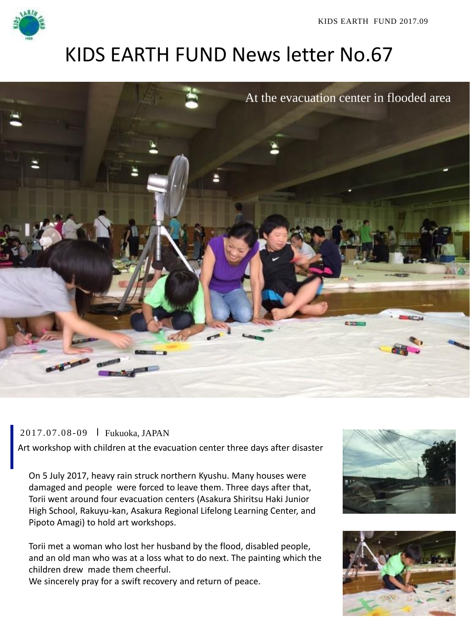

KIDS EARTH FUND 2017.09

## KIDS EARTH FUND News letter No.67



2017.07.08 -09 Fukuoka, JAPAN

Art workshop with children at the evacuation center three days after disaster

On 5 July 2017, heavy rain struck northern Kyushu. Many houses were damaged and people were forced to leave them. Three days after that, Torii went around four evacuation centers (Asakura Shiritsu Haki Junior High School, Rakuyu-kan, Asakura Regional Lifelong Learning Center, and Pipoto Amagi) to hold art workshops.

Torii met a woman who lost her husband by the flood, disabled people, and an old man who was at a loss what to do next. The painting which the children drew made them cheerful.

We sincerely pray for a swift recovery and return of peace.



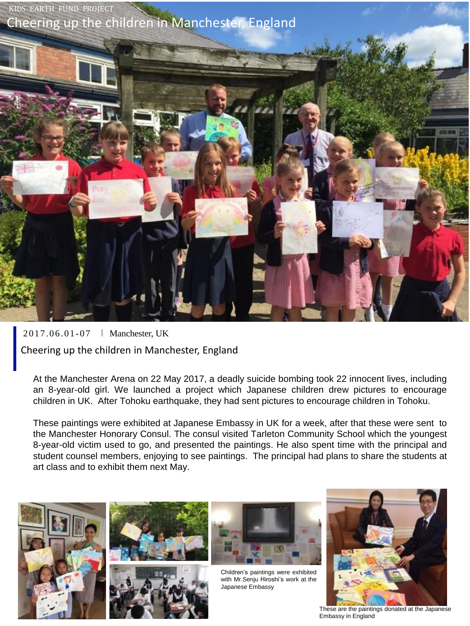

2017.06.01 -07 Manchester, UK Cheering up the children in Manchester, England

At the Manchester Arena on 22 May 2017, a deadly suicide bombing took 22 innocent lives, including an 8-year-old girl. We launched a project which Japanese children drew pictures to encourage children in UK. After Tohoku earthquake, they had sent pictures to encourage children in Tohoku.

These paintings were exhibited at Japanese Embassy in UK for a week, after that these were sent to the Manchester Honorary Consul. The consul visited Tarleton Community School which the youngest 8-year-old victim used to go, and presented the paintings. He also spent time with the principal and student counsel members, enjoying to see paintings. The principal had plans to share the students at art class and to exhibit them next May.









Children's paintings were exhibited with Mr.Senju Hiroshi's work at the Japanese Embassy



These are the paintings donated at the Japanese Embassy in England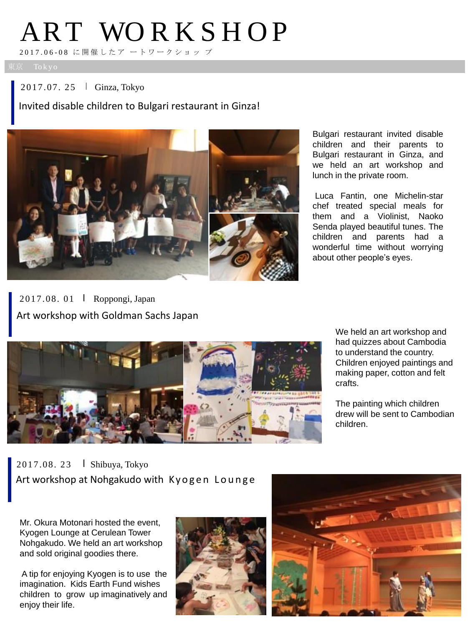# ART WORKSHOP

2017.06 - 08 に 開 催 したア ートワークショッ プ

2017.07. 25 Ginza, Tokyo

Invited disable children to Bulgari restaurant in Ginza!



Bulgari restaurant invited disable children and their parents to Bulgari restaurant in Ginza, and we held an art workshop and lunch in the private room.

Luca Fantin, one Michelin-star chef treated special meals for them and a Violinist, Naoko Senda played beautiful tunes. The children and parents had a wonderful time without worrying about other people's eyes.

2017.08. 01 Roppongi, Japan Art workshop with Goldman Sachs Japan



We held an art workshop and had quizzes about Cambodia to understand the country. Children enjoyed paintings and making paper, cotton and felt crafts.

The painting which children drew will be sent to Cambodian children.

2017.08. 23 Shibuya, Tokyo Art workshop at Nohgakudo with Kyogen Lounge

Mr. Okura Motonari hosted the event, Kyogen Lounge at Cerulean Tower Nohgakudo. We held an art workshop and sold original goodies there.

A tip for enjoying Kyogen is to use the imagination. Kids Earth Fund wishes children to grow up imaginatively and enjoy their life.



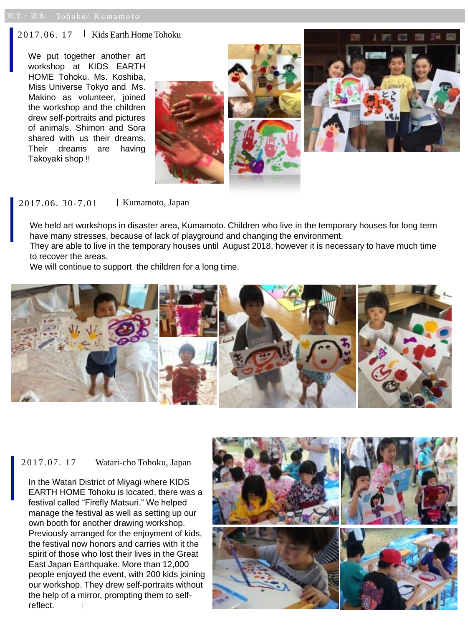#### $2017.06. 17$  Kids Earth Home Tohoku

We put together another art workshop at KIDS EARTH HOME Tohoku. Ms. Koshiba, Miss Universe Tokyo and Ms. Makino as volunteer, joined the workshop and the children drew self-portraits and pictures of animals. Shimon and Sora shared with us their dreams. Their dreams are having Takoyaki shop !!



2017.06. 30 -7.01 Kumamoto, Japan

We held art workshops in disaster area, Kumamoto. Children who live in the temporary houses for long term have many stresses, because of lack of playground and changing the environment.

They are able to live in the temporary houses until August 2018, however it is necessary to have much time to recover the areas.

We will continue to support the children for a long time.



## 2017.07. 17 Watari-cho Tohoku, Japan

In the Watari District of Miyagi where KIDS EARTH HOME Tohoku is located, there was a festival called "Firefly Matsuri." We helped manage the festival as well as setting up our own booth for another drawing workshop. Previously arranged for the enjoyment of kids, the festival now honors and carries with it the spirit of those who lost their lives in the Great East Japan Earthquake. More than 12,000 people enjoyed the event, with 200 kids joining our workshop. They drew self-portraits without the help of a mirror, prompting them to selfreflect.